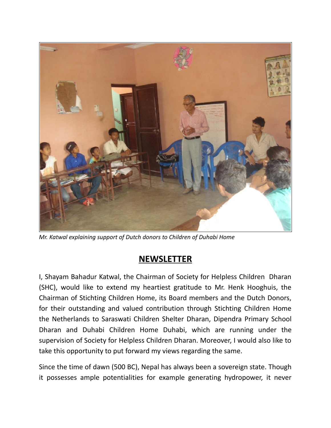

*Mr. Katwal explaining support of Dutch donors to Children of Duhabi Home*

## **NEWSLETTER**

I, Shayam Bahadur Katwal, the Chairman of Society for Helpless Children Dharan (SHC), would like to extend my heartiest gratitude to Mr. Henk Hooghuis, the Chairman of Stichting Children Home, its Board members and the Dutch Donors, for their outstanding and valued contribution through Stichting Children Home the Netherlands to Saraswati Children Shelter Dharan, Dipendra Primary School Dharan and Duhabi Children Home Duhabi, which are running under the supervision of Society for Helpless Children Dharan. Moreover, I would also like to take this opportunity to put forward my views regarding the same.

Since the time of dawn (500 BC), Nepal has always been a sovereign state. Though it possesses ample potentialities for example generating hydropower, it never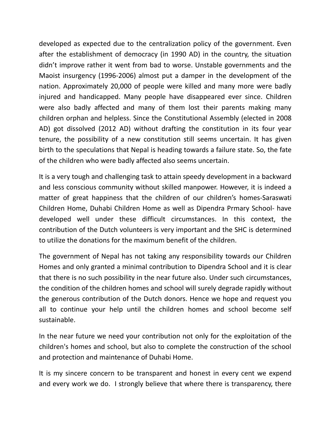developed as expected due to the centralization policy of the government. Even after the establishment of democracy (in 1990 AD) in the country, the situation didn't improve rather it went from bad to worse. Unstable governments and the Maoist insurgency (1996-2006) almost put a damper in the development of the nation. Approximately 20,000 of people were killed and many more were badly injured and handicapped. Many people have disappeared ever since. Children were also badly affected and many of them lost their parents making many children orphan and helpless. Since the Constitutional Assembly (elected in 2008 AD) got dissolved (2012 AD) without drafting the constitution in its four year tenure, the possibility of a new constitution still seems uncertain. It has given birth to the speculations that Nepal is heading towards a failure state. So, the fate of the children who were badly affected also seems uncertain.

It is a very tough and challenging task to attain speedy development in a backward and less conscious community without skilled manpower. However, it is indeed a matter of great happiness that the children of our children's homes-Saraswati Children Home, Duhabi Children Home as well as Dipendra Prmary School- have developed well under these difficult circumstances. In this context, the contribution of the Dutch volunteers is very important and the SHC is determined to utilize the donations for the maximum benefit of the children.

The government of Nepal has not taking any responsibility towards our Children Homes and only granted a minimal contribution to Dipendra School and it is clear that there is no such possibility in the near future also. Under such circumstances, the condition of the children homes and school will surely degrade rapidly without the generous contribution of the Dutch donors. Hence we hope and request you all to continue your help until the children homes and school become self sustainable.

In the near future we need your contribution not only for the exploitation of the children's homes and school, but also to complete the construction of the school and protection and maintenance of Duhabi Home.

It is my sincere concern to be transparent and honest in every cent we expend and every work we do. I strongly believe that where there is transparency, there